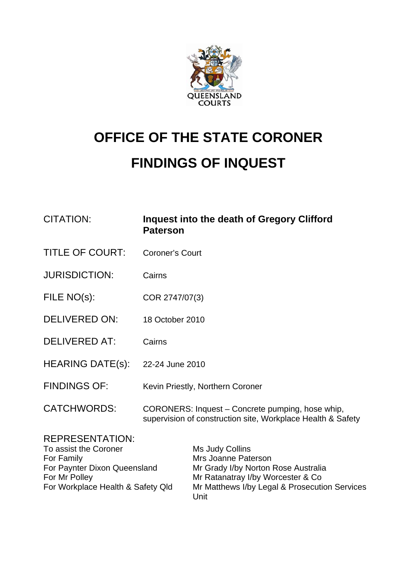

# **OFFICE OF THE STATE CORONER FINDINGS OF INQUEST**

| <b>CITATION:</b>                                               | Inquest into the death of Gregory Clifford<br><b>Paterson</b>                                                   |
|----------------------------------------------------------------|-----------------------------------------------------------------------------------------------------------------|
| <b>TITLE OF COURT:</b>                                         | <b>Coroner's Court</b>                                                                                          |
| <b>JURISDICTION:</b>                                           | Cairns                                                                                                          |
| FILE NO(s):                                                    | COR 2747/07(3)                                                                                                  |
| <b>DELIVERED ON:</b>                                           | 18 October 2010                                                                                                 |
| <b>DELIVERED AT:</b>                                           | Cairns                                                                                                          |
| <b>HEARING DATE(s):</b>                                        | 22-24 June 2010                                                                                                 |
| <b>FINDINGS OF:</b>                                            | Kevin Priestly, Northern Coroner                                                                                |
| <b>CATCHWORDS:</b>                                             | CORONERS: Inquest - Concrete pumping, hose whip,<br>supervision of construction site, Workplace Health & Safety |
| <b>REPRESENTATION:</b><br>To assist the Coroner<br>EAR EARSILL | Ms Judy Collins<br>Mas Joonna Dotaroon                                                                          |

| To assist the Coroner             | Ms Judy Collins                               |
|-----------------------------------|-----------------------------------------------|
| For Family                        | Mrs Joanne Paterson                           |
| For Paynter Dixon Queensland      | Mr Grady I/by Norton Rose Australia           |
| For Mr Polley                     | Mr Ratanatray I/by Worcester & Co.            |
| For Workplace Health & Safety Qld | Mr Matthews I/by Legal & Prosecution Services |
|                                   | Unit                                          |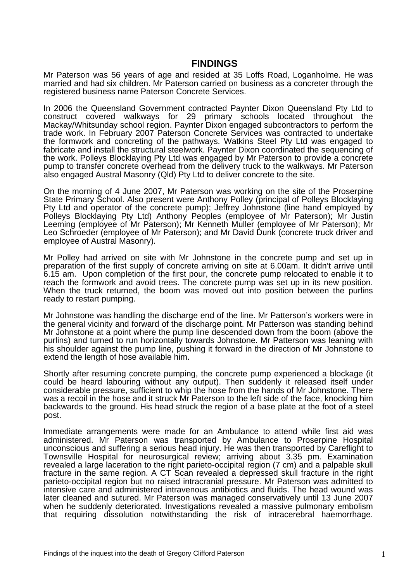# **FINDINGS**

Mr Paterson was 56 years of age and resided at 35 Loffs Road, Loganholme. He was married and had six children. Mr Paterson carried on business as a concreter through the registered business name Paterson Concrete Services.

In 2006 the Queensland Government contracted Paynter Dixon Queensland Pty Ltd to construct covered walkways for 29 primary schools located throughout the Mackay/Whitsunday school region. Paynter Dixon engaged subcontractors to perform the trade work. In February 2007 Paterson Concrete Services was contracted to undertake the formwork and concreting of the pathways. Watkins Steel Pty Ltd was engaged to fabricate and install the structural steelwork. Paynter Dixon coordinated the sequencing of the work. Polleys Blocklaying Pty Ltd was engaged by Mr Paterson to provide a concrete pump to transfer concrete overhead from the delivery truck to the walkways. Mr Paterson also engaged Austral Masonry (Qld) Pty Ltd to deliver concrete to the site.

On the morning of 4 June 2007, Mr Paterson was working on the site of the Proserpine State Primary School. Also present were Anthony Polley (principal of Polleys Blocklaying Pty Ltd and operator of the concrete pump); Jeffrey Johnstone (line hand employed by Polleys Blocklaying Pty Ltd) Anthony Peoples (employee of Mr Paterson); Mr Justin Leeming (employee of Mr Paterson); Mr Kenneth Muller (employee of Mr Paterson); Mr Leo Schroeder (employee of Mr Paterson); and Mr David Dunk (concrete truck driver and employee of Austral Masonry).

Mr Polley had arrived on site with Mr Johnstone in the concrete pump and set up in preparation of the first supply of concrete arriving on site at 6.00am. It didn't arrive until 6.15 am. Upon completion of the first pour, the concrete pump relocated to enable it to reach the formwork and avoid trees. The concrete pump was set up in its new position. When the truck returned, the boom was moved out into position between the purlins ready to restart pumping.

Mr Johnstone was handling the discharge end of the line. Mr Patterson's workers were in the general vicinity and forward of the discharge point. Mr Patterson was standing behind Mr Johnstone at a point where the pump line descended down from the boom (above the purlins) and turned to run horizontally towards Johnstone. Mr Patterson was leaning with his shoulder against the pump line, pushing it forward in the direction of Mr Johnstone to extend the length of hose available him.

Shortly after resuming concrete pumping, the concrete pump experienced a blockage (it could be heard labouring without any output). Then suddenly it released itself under considerable pressure, sufficient to whip the hose from the hands of Mr Johnstone. There was a recoil in the hose and it struck Mr Paterson to the left side of the face, knocking him backwards to the ground. His head struck the region of a base plate at the foot of a steel post.

Immediate arrangements were made for an Ambulance to attend while first aid was administered. Mr Paterson was transported by Ambulance to Proserpine Hospital unconscious and suffering a serious head injury. He was then transported by Careflight to Townsville Hospital for neurosurgical review; arriving about 3.35 pm. Examination revealed a large laceration to the right parieto-occipital region (7 cm) and a palpable skull fracture in the same region. A CT Scan revealed a depressed skull fracture in the right parieto-occipital region but no raised intracranial pressure. Mr Paterson was admitted to intensive care and administered intravenous antibiotics and fluids. The head wound was later cleaned and sutured. Mr Paterson was managed conservatively until 13 June 2007 when he suddenly deteriorated. Investigations revealed a massive pulmonary embolism that requiring dissolution notwithstanding the risk of intracerebral haemorrhage.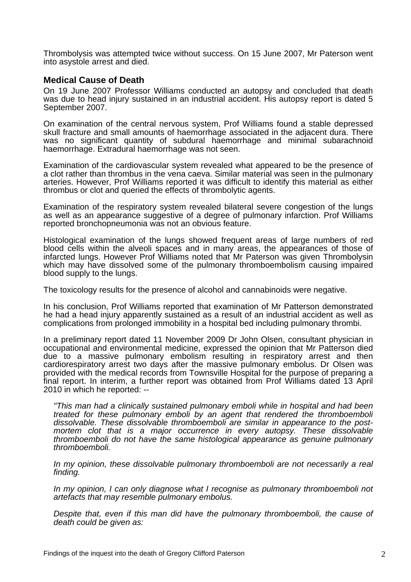Thrombolysis was attempted twice without success. On 15 June 2007, Mr Paterson went into asystole arrest and died.

### **Medical Cause of Death**

On 19 June 2007 Professor Williams conducted an autopsy and concluded that death was due to head injury sustained in an industrial accident. His autopsy report is dated 5 September 2007.

On examination of the central nervous system, Prof Williams found a stable depressed skull fracture and small amounts of haemorrhage associated in the adjacent dura. There was no significant quantity of subdural haemorrhage and minimal subarachnoid haemorrhage. Extradural haemorrhage was not seen.

Examination of the cardiovascular system revealed what appeared to be the presence of a clot rather than thrombus in the vena caeva. Similar material was seen in the pulmonary arteries. However, Prof Williams reported it was difficult to identify this material as either thrombus or clot and queried the effects of thrombolytic agents.

Examination of the respiratory system revealed bilateral severe congestion of the lungs as well as an appearance suggestive of a degree of pulmonary infarction. Prof Williams reported bronchopneumonia was not an obvious feature.

Histological examination of the lungs showed frequent areas of large numbers of red blood cells within the alveoli spaces and in many areas, the appearances of those of infarcted lungs. However Prof Williams noted that Mr Paterson was given Thrombolysin which may have dissolved some of the pulmonary thromboembolism causing impaired blood supply to the lungs.

The toxicology results for the presence of alcohol and cannabinoids were negative.

In his conclusion, Prof Williams reported that examination of Mr Patterson demonstrated he had a head injury apparently sustained as a result of an industrial accident as well as complications from prolonged immobility in a hospital bed including pulmonary thrombi.

In a preliminary report dated 11 November 2009 Dr John Olsen, consultant physician in occupational and environmental medicine, expressed the opinion that Mr Patterson died due to a massive pulmonary embolism resulting in respiratory arrest and then cardiorespiratory arrest two days after the massive pulmonary embolus. Dr Olsen was provided with the medical records from Townsville Hospital for the purpose of preparing a final report. In interim, a further report was obtained from Prof Williams dated 13 April 2010 in which he reported: --

*"This man had a clinically sustained pulmonary emboli while in hospital and had been treated for these pulmonary emboli by an agent that rendered the thromboemboli dissolvable. These dissolvable thromboemboli are similar in appearance to the postmortem clot that is a major occurrence in every autopsy. These dissolvable thromboemboli do not have the same histological appearance as genuine pulmonary thromboemboli.* 

*In my opinion, these dissolvable pulmonary thromboemboli are not necessarily a real finding.* 

*In my opinion, I can only diagnose what I recognise as pulmonary thromboemboli not artefacts that may resemble pulmonary embolus.* 

*Despite that, even if this man did have the pulmonary thromboemboli, the cause of death could be given as:*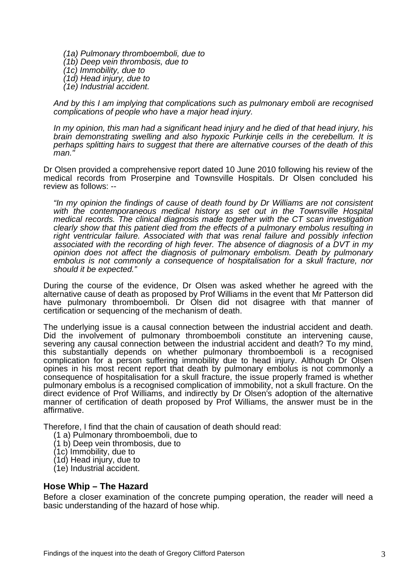*(1a) Pulmonary thromboemboli, due to (1b) Deep vein thrombosis, due to (1c) Immobility, due to (1d) Head injury, due to (1e) Industrial accident.* 

*And by this I am implying that complications such as pulmonary emboli are recognised complications of people who have a major head injury.* 

*In my opinion, this man had a significant head injury and he died of that head injury, his brain demonstrating swelling and also hypoxic Purkinje cells in the cerebellum. It is perhaps splitting hairs to suggest that there are alternative courses of the death of this man."* 

Dr Olsen provided a comprehensive report dated 10 June 2010 following his review of the medical records from Proserpine and Townsville Hospitals. Dr Olsen concluded his review as follows: --

*"In my opinion the findings of cause of death found by Dr Williams are not consistent*  with the contemporaneous medical history as set out in the Townsville Hospital *medical records. The clinical diagnosis made together with the CT scan investigation clearly show that this patient died from the effects of a pulmonary embolus resulting in right ventricular failure. Associated with that was renal failure and possibly infection associated with the recording of high fever. The absence of diagnosis of a DVT in my opinion does not affect the diagnosis of pulmonary embolism. Death by pulmonary embolus is not commonly a consequence of hospitalisation for a skull fracture, nor should it be expected."* 

During the course of the evidence, Dr Olsen was asked whether he agreed with the alternative cause of death as proposed by Prof Williams in the event that Mr Patterson did have pulmonary thromboemboli. Dr Olsen did not disagree with that manner of certification or sequencing of the mechanism of death.

The underlying issue is a causal connection between the industrial accident and death. Did the involvement of pulmonary thromboemboli constitute an intervening cause, severing any causal connection between the industrial accident and death? To my mind, this substantially depends on whether pulmonary thromboemboli is a recognised complication for a person suffering immobility due to head injury. Although Dr Olsen opines in his most recent report that death by pulmonary embolus is not commonly a consequence of hospitalisation for a skull fracture, the issue properly framed is whether pulmonary embolus is a recognised complication of immobility, not a skull fracture. On the direct evidence of Prof Williams, and indirectly by Dr Olsen's adoption of the alternative manner of certification of death proposed by Prof Williams, the answer must be in the affirmative.

Therefore, I find that the chain of causation of death should read:

- (1 a) Pulmonary thromboemboli, due to
- (1 b) Deep vein thrombosis, due to
- (1c) Immobility, due to
- (1d) Head injury, due to
- (1e) Industrial accident.

#### **Hose Whip – The Hazard**

Before a closer examination of the concrete pumping operation, the reader will need a basic understanding of the hazard of hose whip.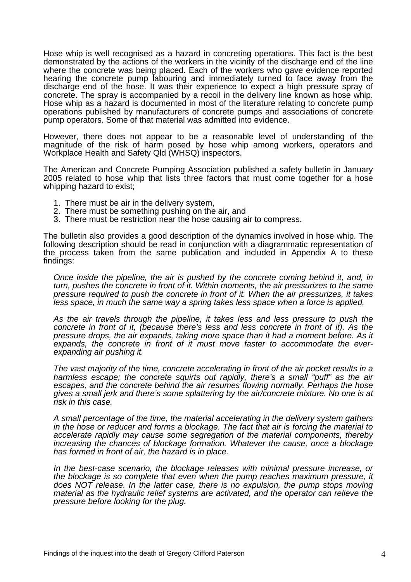Hose whip is well recognised as a hazard in concreting operations. This fact is the best demonstrated by the actions of the workers in the vicinity of the discharge end of the line where the concrete was being placed. Each of the workers who gave evidence reported hearing the concrete pump labouring and immediately turned to face away from the discharge end of the hose. It was their experience to expect a high pressure spray of concrete. The spray is accompanied by a recoil in the delivery line known as hose whip. Hose whip as a hazard is documented in most of the literature relating to concrete pump operations published by manufacturers of concrete pumps and associations of concrete pump operators. Some of that material was admitted into evidence.

However, there does not appear to be a reasonable level of understanding of the magnitude of the risk of harm posed by hose whip among workers, operators and Workplace Health and Safety Qld (WHSQ) inspectors.

The American and Concrete Pumping Association published a safety bulletin in January 2005 related to hose whip that lists three factors that must come together for a hose whipping hazard to exist;

- 1. There must be air in the delivery system,
- 2. There must be something pushing on the air, and
- 3. There must be restriction near the hose causing air to compress.

The bulletin also provides a good description of the dynamics involved in hose whip. The following description should be read in conjunction with a diagrammatic representation of the process taken from the same publication and included in Appendix A to these findings:

*Once inside the pipeline, the air is pushed by the concrete coming behind it, and, in turn, pushes the concrete in front of it. Within moments, the air pressurizes to the same pressure required to push the concrete in front of it. When the air pressurizes, it takes less space, in much the same way a spring takes less space when a force is applied.* 

*As the air travels through the pipeline, it takes less and less pressure to push the concrete in front of it, (because there's less and less concrete in front of it). As the pressure drops, the air expands, taking more space than it had a moment before. As it expands, the concrete in front of it must move faster to accommodate the everexpanding air pushing it.* 

*The vast majority of the time, concrete accelerating in front of the air pocket results in a harmless escape; the concrete squirts out rapidly, there's a small "puff" as the air escapes, and the concrete behind the air resumes flowing normally. Perhaps the hose gives a small jerk and there's some splattering by the air/concrete mixture. No one is at risk in this case.* 

*A small percentage of the time, the material accelerating in the delivery system gathers in the hose or reducer and forms a blockage. The fact that air is forcing the material to accelerate rapidly may cause some segregation of the material components, thereby increasing the chances of blockage formation. Whatever the cause, once a blockage has formed in front of air, the hazard is in place.* 

*In the best-case scenario, the blockage releases with minimal pressure increase, or the blockage is so complete that even when the pump reaches maximum pressure, it does NOT release. In the latter case, there is no expulsion, the pump stops moving material as the hydraulic relief systems are activated, and the operator can relieve the pressure before looking for the plug.*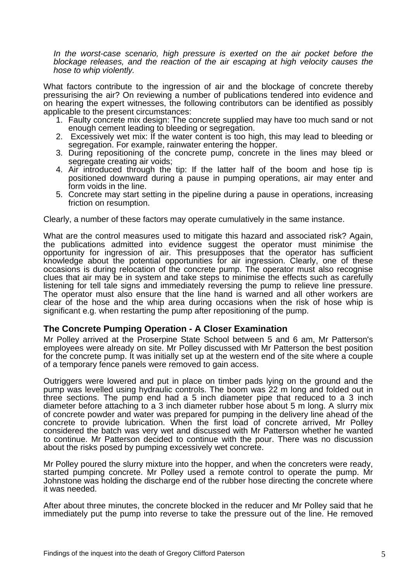*In the worst-case scenario, high pressure is exerted on the air pocket before the blockage releases, and the reaction of the air escaping at high velocity causes the hose to whip violently.* 

What factors contribute to the ingression of air and the blockage of concrete thereby pressurising the air? On reviewing a number of publications tendered into evidence and on hearing the expert witnesses, the following contributors can be identified as possibly applicable to the present circumstances:

- 1. Faulty concrete mix design: The concrete supplied may have too much sand or not enough cement leading to bleeding or segregation.
- 2. Excessively wet mix: If the water content is too high, this may lead to bleeding or segregation. For example, rainwater entering the hopper.
- 3. During repositioning of the concrete pump, concrete in the lines may bleed or segregate creating air voids;
- 4. Air introduced through the tip: If the latter half of the boom and hose tip is positioned downward during a pause in pumping operations, air may enter and form voids in the line.
- 5. Concrete may start setting in the pipeline during a pause in operations, increasing friction on resumption.

Clearly, a number of these factors may operate cumulatively in the same instance.

What are the control measures used to mitigate this hazard and associated risk? Again, the publications admitted into evidence suggest the operator must minimise the opportunity for ingression of air. This presupposes that the operator has sufficient knowledge about the potential opportunities for air ingression. Clearly, one of these occasions is during relocation of the concrete pump. The operator must also recognise clues that air may be in system and take steps to minimise the effects such as carefully listening for tell tale signs and immediately reversing the pump to relieve line pressure. The operator must also ensure that the line hand is warned and all other workers are clear of the hose and the whip area during occasions when the risk of hose whip is significant e.g. when restarting the pump after repositioning of the pump.

## **The Concrete Pumping Operation - A Closer Examination**

Mr Polley arrived at the Proserpine State School between 5 and 6 am, Mr Patterson's employees were already on site. Mr Polley discussed with Mr Patterson the best position for the concrete pump. It was initially set up at the western end of the site where a couple of a temporary fence panels were removed to gain access.

Outriggers were lowered and put in place on timber pads lying on the ground and the pump was levelled using hydraulic controls. The boom was 22 m long and folded out in three sections. The pump end had a 5 inch diameter pipe that reduced to a 3 inch diameter before attaching to a 3 inch diameter rubber hose about 5 m long. A slurry mix of concrete powder and water was prepared for pumping in the delivery line ahead of the concrete to provide lubrication. When the first load of concrete arrived, Mr Polley considered the batch was very wet and discussed with Mr Patterson whether he wanted to continue. Mr Patterson decided to continue with the pour. There was no discussion about the risks posed by pumping excessively wet concrete.

Mr Polley poured the slurry mixture into the hopper, and when the concreters were ready, started pumping concrete. Mr Polley used a remote control to operate the pump. Mr Johnstone was holding the discharge end of the rubber hose directing the concrete where it was needed.

After about three minutes, the concrete blocked in the reducer and Mr Polley said that he immediately put the pump into reverse to take the pressure out of the line. He removed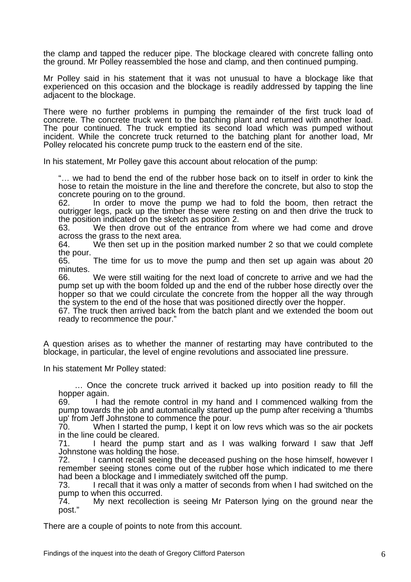the clamp and tapped the reducer pipe. The blockage cleared with concrete falling onto the ground. Mr Polley reassembled the hose and clamp, and then continued pumping.

Mr Polley said in his statement that it was not unusual to have a blockage like that experienced on this occasion and the blockage is readily addressed by tapping the line adjacent to the blockage.

There were no further problems in pumping the remainder of the first truck load of concrete. The concrete truck went to the batching plant and returned with another load. The pour continued. The truck emptied its second load which was pumped without incident. While the concrete truck returned to the batching plant for another load, Mr Polley relocated his concrete pump truck to the eastern end of the site.

In his statement, Mr Polley gave this account about relocation of the pump:

"… we had to bend the end of the rubber hose back on to itself in order to kink the hose to retain the moisture in the line and therefore the concrete, but also to stop the concrete pouring on to the ground.

62. In order to move the pump we had to fold the boom, then retract the outrigger legs, pack up the timber these were resting on and then drive the truck to the position indicated on the sketch as position 2.

63. We then drove out of the entrance from where we had come and drove across the grass to the next area.

64. We then set up in the position marked number 2 so that we could complete the pour.

65. The time for us to move the pump and then set up again was about 20 minutes.

66. We were still waiting for the next load of concrete to arrive and we had the pump set up with the boom folded up and the end of the rubber hose directly over the hopper so that we could circulate the concrete from the hopper all the way through the system to the end of the hose that was positioned directly over the hopper.

67. The truck then arrived back from the batch plant and we extended the boom out ready to recommence the pour."

A question arises as to whether the manner of restarting may have contributed to the blockage, in particular, the level of engine revolutions and associated line pressure.

In his statement Mr Polley stated:

 … Once the concrete truck arrived it backed up into position ready to fill the hopper again.

69. I had the remote control in my hand and I commenced walking from the pump towards the job and automatically started up the pump after receiving a 'thumbs up' from Jeff Johnstone to commence the pour.<br>70. When I started the pump. I kept it on

When I started the pump, I kept it on low revs which was so the air pockets in the line could be cleared.

71. I heard the pump start and as I was walking forward I saw that Jeff Johnstone was holding the hose.

72. I cannot recall seeing the deceased pushing on the hose himself, however I remember seeing stones come out of the rubber hose which indicated to me there had been a blockage and I immediately switched off the pump.

73. I recall that it was only a matter of seconds from when I had switched on the pump to when this occurred.

74. My next recollection is seeing Mr Paterson lying on the ground near the post."

There are a couple of points to note from this account.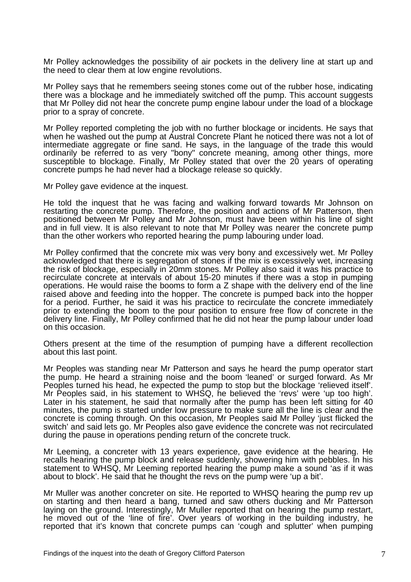Mr Polley acknowledges the possibility of air pockets in the delivery line at start up and the need to clear them at low engine revolutions.

Mr Polley says that he remembers seeing stones come out of the rubber hose, indicating there was a blockage and he immediately switched off the pump. This account suggests that Mr Polley did not hear the concrete pump engine labour under the load of a blockage prior to a spray of concrete.

Mr Polley reported completing the job with no further blockage or incidents. He says that when he washed out the pump at Austral Concrete Plant he noticed there was not a lot of intermediate aggregate or fine sand. He says, in the language of the trade this would ordinarily be referred to as very "bony" concrete meaning, among other things, more susceptible to blockage. Finally, Mr Polley stated that over the 20 years of operating concrete pumps he had never had a blockage release so quickly.

Mr Polley gave evidence at the inquest.

He told the inquest that he was facing and walking forward towards Mr Johnson on restarting the concrete pump. Therefore, the position and actions of Mr Patterson, then positioned between Mr Polley and Mr Johnson, must have been within his line of sight and in full view. It is also relevant to note that Mr Polley was nearer the concrete pump than the other workers who reported hearing the pump labouring under load.

Mr Polley confirmed that the concrete mix was very bony and excessively wet. Mr Polley acknowledged that there is segregation of stones if the mix is excessively wet, increasing the risk of blockage, especially in 20mm stones. Mr Polley also said it was his practice to recirculate concrete at intervals of about 15-20 minutes if there was a stop in pumping operations. He would raise the booms to form a Z shape with the delivery end of the line raised above and feeding into the hopper. The concrete is pumped back into the hopper for a period. Further, he said it was his practice to recirculate the concrete immediately prior to extending the boom to the pour position to ensure free flow of concrete in the delivery line. Finally, Mr Polley confirmed that he did not hear the pump labour under load on this occasion.

Others present at the time of the resumption of pumping have a different recollection about this last point.

Mr Peoples was standing near Mr Patterson and says he heard the pump operator start the pump. He heard a straining noise and the boom 'leaned' or surged forward. As Mr Peoples turned his head, he expected the pump to stop but the blockage 'relieved itself'. Mr Peoples said, in his statement to WHSQ, he believed the 'revs' were 'up too high'. Later in his statement, he said that normally after the pump has been left sitting for 40 minutes, the pump is started under low pressure to make sure all the line is clear and the concrete is coming through. On this occasion, Mr Peoples said Mr Polley 'just flicked the switch' and said lets go. Mr Peoples also gave evidence the concrete was not recirculated during the pause in operations pending return of the concrete truck.

Mr Leeming, a concreter with 13 years experience, gave evidence at the hearing. He recalls hearing the pump block and release suddenly, showering him with pebbles. In his statement to WHSQ, Mr Leeming reported hearing the pump make a sound 'as if it was about to block'. He said that he thought the revs on the pump were 'up a bit'.

Mr Muller was another concreter on site. He reported to WHSQ hearing the pump rev up on starting and then heard a bang, turned and saw others ducking and Mr Patterson laying on the ground. Interestingly, Mr Muller reported that on hearing the pump restart, he moved out of the 'line of fire'. Over years of working in the building industry, he reported that it's known that concrete pumps can 'cough and splutter' when pumping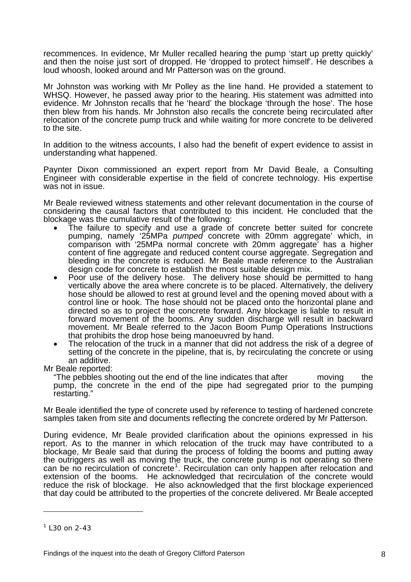recommences. In evidence, Mr Muller recalled hearing the pump 'start up pretty quickly' and then the noise just sort of dropped. He 'dropped to protect himself'. He describes a loud whoosh, looked around and Mr Patterson was on the ground.

Mr Johnston was working with Mr Polley as the line hand. He provided a statement to WHSQ. However, he passed away prior to the hearing. His statement was admitted into evidence. Mr Johnston recalls that he 'heard' the blockage 'through the hose'. The hose then blew from his hands. Mr Johnston also recalls the concrete being recirculated after relocation of the concrete pump truck and while waiting for more concrete to be delivered to the site.

In addition to the witness accounts, I also had the benefit of expert evidence to assist in understanding what happened.

Paynter Dixon commissioned an expert report from Mr David Beale, a Consulting Engineer with considerable expertise in the field of concrete technology. His expertise was not in issue.

Mr Beale reviewed witness statements and other relevant documentation in the course of considering the causal factors that contributed to this incident. He concluded that the blockage was the cumulative result of the following:

- The failure to specify and use a grade of concrete better suited for concrete pumping, namely '25MPa *pumped* concrete with 20mm aggregate' which, in comparison with '25MPa normal concrete with 20mm aggregate' has a higher content of fine aggregate and reduced content course aggregate. Segregation and bleeding in the concrete is reduced. Mr Beale made reference to the Australian design code for concrete to establish the most suitable design mix.
- Poor use of the delivery hose. The delivery hose should be permitted to hang vertically above the area where concrete is to be placed. Alternatively, the delivery hose should be allowed to rest at ground level and the opening moved about with a control line or hook. The hose should not be placed onto the horizontal plane and directed so as to project the concrete forward. Any blockage is liable to result in forward movement of the booms. Any sudden discharge will result in backward movement. Mr Beale referred to the Jacon Boom Pump Operations Instructions that prohibits the drop hose being manoeuvred by hand.
- The relocation of the truck in a manner that did not address the risk of a degree of setting of the concrete in the pipeline, that is, by recirculating the concrete or using an additive.

Mr Beale reported:

"The pebbles shooting out the end of the line indicates that after moving the pump, the concrete in the end of the pipe had segregated prior to the pumping restarting."

Mr Beale identified the type of concrete used by reference to testing of hardened concrete samples taken from site and documents reflecting the concrete ordered by Mr Patterson.

During evidence, Mr Beale provided clarification about the opinions expressed in his report. As to the manner in which relocation of the truck may have contributed to a blockage, Mr Beale said that during the process of folding the booms and putting away the outriggers as well as moving the truck, the concrete pump is not operating so there can be no recirculation of concrete<sup>[1](#page-8-0)</sup>. Recirculation can only happen after relocation and extension of the booms. He acknowledged that recirculation of the concrete would reduce the risk of blockage. He also acknowledged that the first blockage experienced that day could be attributed to the properties of the concrete delivered. Mr Beale accepted

 $\overline{a}$ 

<span id="page-8-0"></span> $1$  L30 on 2-43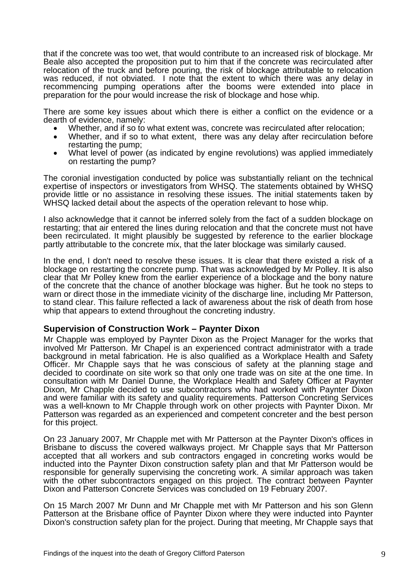that if the concrete was too wet, that would contribute to an increased risk of blockage. Mr Beale also accepted the proposition put to him that if the concrete was recirculated after relocation of the truck and before pouring, the risk of blockage attributable to relocation was reduced, if not obviated. I note that the extent to which there was any delay in recommencing pumping operations after the booms were extended into place in preparation for the pour would increase the risk of blockage and hose whip.

There are some key issues about which there is either a conflict on the evidence or a

- dearth of evidence, namely:<br>
Whether, and if so to what extent was, concrete was recirculated after relocation;<br>
Whether, and if so to what extent, there was any delay after recirculation before
	- restarting the pump;<br>What level of power (as indicated by engine revolutions) was applied immediately
	- on restarting the pump?

The coronial investigation conducted by police was substantially reliant on the technical expertise of inspectors or investigators from WHSQ. The statements obtained by WHSQ provide little or no assistance in resolving these issues. The initial statements taken by WHSQ lacked detail about the aspects of the operation relevant to hose whip.

I also acknowledge that it cannot be inferred solely from the fact of a sudden blockage on restarting; that air entered the lines during relocation and that the concrete must not have been recirculated. It might plausibly be suggested by reference to the earlier blockage partly attributable to the concrete mix, that the later blockage was similarly caused.

In the end, I don't need to resolve these issues. It is clear that there existed a risk of a blockage on restarting the concrete pump. That was acknowledged by Mr Polley. It is also clear that Mr Polley knew from the earlier experience of a blockage and the bony nature of the concrete that the chance of another blockage was higher. But he took no steps to warn or direct those in the immediate vicinity of the discharge line, including Mr Patterson, to stand clear. This failure reflected a lack of awareness about the risk of death from hose whip that appears to extend throughout the concreting industry.

#### **Supervision of Construction Work – Paynter Dixon**

Mr Chapple was employed by Paynter Dixon as the Project Manager for the works that involved Mr Patterson. Mr Chapel is an experienced contract administrator with a trade background in metal fabrication. He is also qualified as a Workplace Health and Safety Officer. Mr Chapple says that he was conscious of safety at the planning stage and decided to coordinate on site work so that only one trade was on site at the one time. In consultation with Mr Daniel Dunne, the Workplace Health and Safety Officer at Paynter Dixon, Mr Chapple decided to use subcontractors who had worked with Paynter Dixon and were familiar with its safety and quality requirements. Patterson Concreting Services was a well-known to Mr Chapple through work on other projects with Paynter Dixon. Mr Patterson was regarded as an experienced and competent concreter and the best person for this project.

On 23 January 2007, Mr Chapple met with Mr Patterson at the Paynter Dixon's offices in Brisbane to discuss the covered walkways project. Mr Chapple says that Mr Patterson accepted that all workers and sub contractors engaged in concreting works would be inducted into the Paynter Dixon construction safety plan and that Mr Patterson would be responsible for generally supervising the concreting work. A similar approach was taken with the other subcontractors engaged on this project. The contract between Paynter Dixon and Patterson Concrete Services was concluded on 19 February 2007.

On 15 March 2007 Mr Dunn and Mr Chapple met with Mr Patterson and his son Glenn Patterson at the Brisbane office of Paynter Dixon where they were inducted into Paynter Dixon's construction safety plan for the project. During that meeting, Mr Chapple says that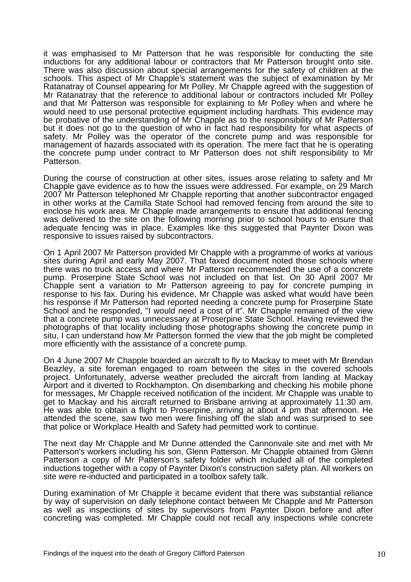it was emphasised to Mr Patterson that he was responsible for conducting the site inductions for any additional labour or contractors that Mr Patterson brought onto site. There was also discussion about special arrangements for the safety of children at the schools. This aspect of Mr Chapple's statement was the subject of examination by Mr Ratanatray of Counsel appearing for Mr Polley. Mr Chapple agreed with the suggestion of Mr Ratanatray that the reference to additional labour or contractors included Mr Polley and that Mr Patterson was responsible for explaining to Mr Polley when and where he would need to use personal protective equipment including hardhats. This evidence may be probative of the understanding of Mr Chapple as to the responsibility of Mr Patterson but it does not go to the question of who in fact had responsibility for what aspects of safety. Mr Polley was the operator of the concrete pump and was responsible for management of hazards associated with its operation. The mere fact that he is operating the concrete pump under contract to Mr Patterson does not shift responsibility to Mr Patterson.

During the course of construction at other sites, issues arose relating to safety and Mr Chapple gave evidence as to how the issues were addressed. For example, on 29 March 2007 Mr Patterson telephoned Mr Chapple reporting that another subcontractor engaged in other works at the Camilla State School had removed fencing from around the site to enclose his work area. Mr Chapple made arrangements to ensure that additional fencing was delivered to the site on the following morning prior to school hours to ensure that adequate fencing was in place. Examples like this suggested that Paynter Dixon was responsive to issues raised by subcontractors.

On 1 April 2007 Mr Patterson provided Mr Chapple with a programme of works at various sites during April and early May 2007. That faxed document noted those schools where there was no truck access and where Mr Patterson recommended the use of a concrete pump. Proserpine State School was not included on that list. On 30 April 2007 Mr Chapple sent a variation to Mr Patterson agreeing to pay for concrete pumping in response to his fax. During his evidence, Mr Chapple was asked what would have been his response if Mr Patterson had reported needing a concrete pump for Proserpine State School and he responded, "I would need a cost of it". Mr Chapple remained of the view that a concrete pump was unnecessary at Proserpine State School. Having reviewed the photographs of that locality including those photographs showing the concrete pump in situ, I can understand how Mr Patterson formed the view that the job might be completed more efficiently with the assistance of a concrete pump.

On 4 June 2007 Mr Chapple boarded an aircraft to fly to Mackay to meet with Mr Brendan Beazley, a site foreman engaged to roam between the sites in the covered schools project. Unfortunately, adverse weather precluded the aircraft from landing at Mackay Airport and it diverted to Rockhampton. On disembarking and checking his mobile phone for messages, Mr Chapple received notification of the incident. Mr Chapple was unable to get to Mackay and his aircraft returned to Brisbane arriving at approximately 11:30 am. He was able to obtain a flight to Proserpine, arriving at about 4 pm that afternoon. He attended the scene, saw two men were finishing off the slab and was surprised to see that police or Workplace Health and Safety had permitted work to continue.

The next day Mr Chapple and Mr Dunne attended the Cannonvale site and met with Mr Patterson's workers including his son, Glenn Patterson. Mr Chapple obtained from Glenn Patterson a copy of Mr Patterson's safety folder which included all of the completed inductions together with a copy of Paynter Dixon's construction safety plan. All workers on site were re-inducted and participated in a toolbox safety talk.

During examination of Mr Chapple it became evident that there was substantial reliance by way of supervision on daily telephone contact between Mr Chapple and Mr Patterson as well as inspections of sites by supervisors from Paynter Dixon before and after concreting was completed. Mr Chapple could not recall any inspections while concrete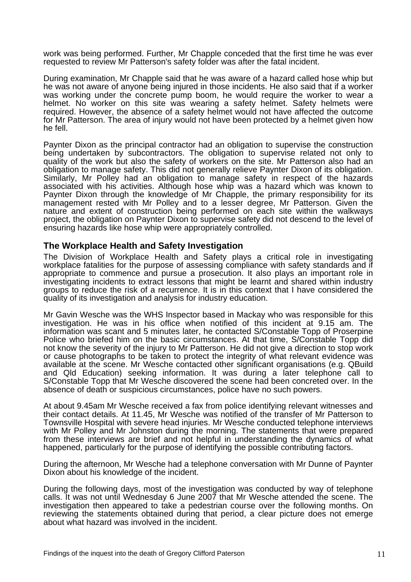work was being performed. Further, Mr Chapple conceded that the first time he was ever requested to review Mr Patterson's safety folder was after the fatal incident.

During examination, Mr Chapple said that he was aware of a hazard called hose whip but he was not aware of anyone being injured in those incidents. He also said that if a worker was working under the concrete pump boom, he would require the worker to wear a helmet. No worker on this site was wearing a safety helmet. Safety helmets were required. However, the absence of a safety helmet would not have affected the outcome for Mr Patterson. The area of injury would not have been protected by a helmet given how he fell.

Paynter Dixon as the principal contractor had an obligation to supervise the construction being undertaken by subcontractors. The obligation to supervise related not only to quality of the work but also the safety of workers on the site. Mr Patterson also had an obligation to manage safety. This did not generally relieve Paynter Dixon of its obligation. Similarly, Mr Polley had an obligation to manage safety in respect of the hazards associated with his activities. Although hose whip was a hazard which was known to Paynter Dixon through the knowledge of Mr Chapple, the primary responsibility for its management rested with Mr Polley and to a lesser degree, Mr Patterson. Given the nature and extent of construction being performed on each site within the walkways project, the obligation on Paynter Dixon to supervise safety did not descend to the level of ensuring hazards like hose whip were appropriately controlled.

## **The Workplace Health and Safety Investigation**

The Division of Workplace Health and Safety plays a critical role in investigating workplace fatalities for the purpose of assessing compliance with safety standards and if appropriate to commence and pursue a prosecution. It also plays an important role in investigating incidents to extract lessons that might be learnt and shared within industry groups to reduce the risk of a recurrence. It is in this context that I have considered the quality of its investigation and analysis for industry education.

Mr Gavin Wesche was the WHS Inspector based in Mackay who was responsible for this investigation. He was in his office when notified of this incident at 9.15 am. The information was scant and 5 minutes later, he contacted S/Constable Topp of Proserpine Police who briefed him on the basic circumstances. At that time, S/Constable Topp did not know the severity of the injury to Mr Patterson. He did not give a direction to stop work or cause photographs to be taken to protect the integrity of what relevant evidence was available at the scene. Mr Wesche contacted other significant organisations (e.g. QBuild and Qld Education) seeking information. It was during a later telephone call to S/Constable Topp that Mr Wesche discovered the scene had been concreted over. In the absence of death or suspicious circumstances, police have no such powers.

At about 9.45am Mr Wesche received a fax from police identifying relevant witnesses and their contact details. At 11.45, Mr Wesche was notified of the transfer of Mr Patterson to Townsville Hospital with severe head injuries. Mr Wesche conducted telephone interviews with Mr Polley and Mr Johnston during the morning. The statements that were prepared from these interviews are brief and not helpful in understanding the dynamics of what happened, particularly for the purpose of identifying the possible contributing factors.

During the afternoon, Mr Wesche had a telephone conversation with Mr Dunne of Paynter Dixon about his knowledge of the incident.

During the following days, most of the investigation was conducted by way of telephone calls. It was not until Wednesday 6 June 2007 that Mr Wesche attended the scene. The investigation then appeared to take a pedestrian course over the following months. On reviewing the statements obtained during that period, a clear picture does not emerge about what hazard was involved in the incident.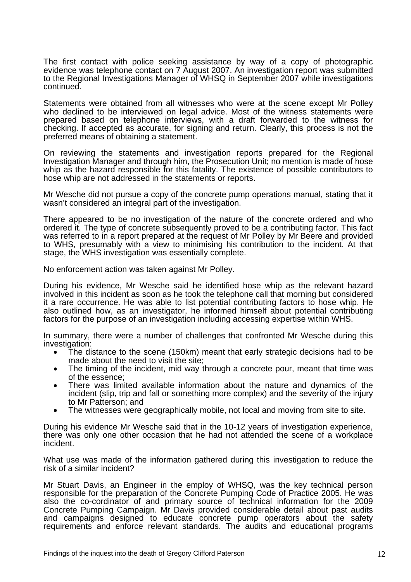The first contact with police seeking assistance by way of a copy of photographic evidence was telephone contact on 7 August 2007. An investigation report was submitted to the Regional Investigations Manager of WHSQ in September 2007 while investigations continued.

Statements were obtained from all witnesses who were at the scene except Mr Polley who declined to be interviewed on legal advice. Most of the witness statements were prepared based on telephone interviews, with a draft forwarded to the witness for checking. If accepted as accurate, for signing and return. Clearly, this process is not the preferred means of obtaining a statement.

On reviewing the statements and investigation reports prepared for the Regional Investigation Manager and through him, the Prosecution Unit; no mention is made of hose whip as the hazard responsible for this fatality. The existence of possible contributors to hose whip are not addressed in the statements or reports.

Mr Wesche did not pursue a copy of the concrete pump operations manual, stating that it wasn't considered an integral part of the investigation.

There appeared to be no investigation of the nature of the concrete ordered and who ordered it. The type of concrete subsequently proved to be a contributing factor. This fact was referred to in a report prepared at the request of Mr Polley by Mr Beere and provided to WHS, presumably with a view to minimising his contribution to the incident. At that stage, the WHS investigation was essentially complete.

No enforcement action was taken against Mr Polley.

During his evidence, Mr Wesche said he identified hose whip as the relevant hazard involved in this incident as soon as he took the telephone call that morning but considered it a rare occurrence. He was able to list potential contributing factors to hose whip. He also outlined how, as an investigator, he informed himself about potential contributing factors for the purpose of an investigation including accessing expertise within WHS.

In summary, there were a number of challenges that confronted Mr Wesche during this investigation:

- The distance to the scene (150km) meant that early strategic decisions had to be made about the need to visit the site;
- The timing of the incident, mid way through a concrete pour, meant that time was of the essence;
- There was limited available information about the nature and dynamics of the incident (slip, trip and fall or something more complex) and the severity of the injury to Mr Patterson; and
- The witnesses were geographically mobile, not local and moving from site to site.

During his evidence Mr Wesche said that in the 10-12 years of investigation experience, there was only one other occasion that he had not attended the scene of a workplace incident.

What use was made of the information gathered during this investigation to reduce the risk of a similar incident?

Mr Stuart Davis, an Engineer in the employ of WHSQ, was the key technical person responsible for the preparation of the Concrete Pumping Code of Practice 2005. He was also the co-cordinator of and primary source of technical information for the 2009 Concrete Pumping Campaign. Mr Davis provided considerable detail about past audits and campaigns designed to educate concrete pump operators about the safety requirements and enforce relevant standards. The audits and educational programs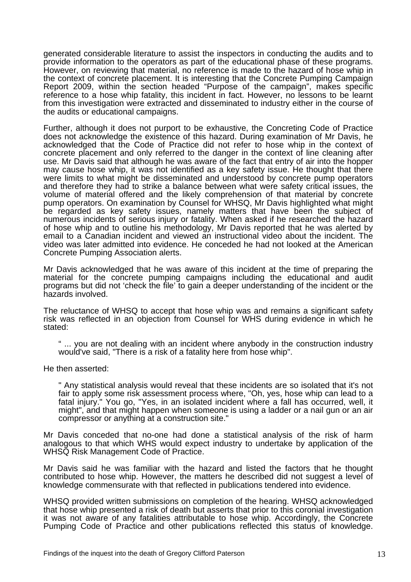generated considerable literature to assist the inspectors in conducting the audits and to provide information to the operators as part of the educational phase of these programs. However, on reviewing that material, no reference is made to the hazard of hose whip in the context of concrete placement. It is interesting that the Concrete Pumping Campaign Report 2009, within the section headed "Purpose of the campaign", makes specific reference to a hose whip fatality, this incident in fact. However, no lessons to be learnt from this investigation were extracted and disseminated to industry either in the course of the audits or educational campaigns.

Further, although it does not purport to be exhaustive, the Concreting Code of Practice does not acknowledge the existence of this hazard. During examination of Mr Davis, he acknowledged that the Code of Practice did not refer to hose whip in the context of concrete placement and only referred to the danger in the context of line cleaning after use. Mr Davis said that although he was aware of the fact that entry of air into the hopper may cause hose whip, it was not identified as a key safety issue. He thought that there were limits to what might be disseminated and understood by concrete pump operators and therefore they had to strike a balance between what were safety critical issues, the volume of material offered and the likely comprehension of that material by concrete pump operators. On examination by Counsel for WHSQ, Mr Davis highlighted what might be regarded as key safety issues, namely matters that have been the subject of numerous incidents of serious injury or fatality. When asked if he researched the hazard of hose whip and to outline his methodology, Mr Davis reported that he was alerted by email to a Canadian incident and viewed an instructional video about the incident. The video was later admitted into evidence. He conceded he had not looked at the American Concrete Pumping Association alerts.

Mr Davis acknowledged that he was aware of this incident at the time of preparing the material for the concrete pumping campaigns including the educational and audit programs but did not 'check the file' to gain a deeper understanding of the incident or the hazards involved.

The reluctance of WHSQ to accept that hose whip was and remains a significant safety risk was reflected in an objection from Counsel for WHS during evidence in which he stated:

" ... you are not dealing with an incident where anybody in the construction industry would've said, "There is a risk of a fatality here from hose whip".

He then asserted:

" Any statistical analysis would reveal that these incidents are so isolated that it's not fair to apply some risk assessment process where, "Oh, yes, hose whip can lead to a fatal injury." You go, "Yes, in an isolated incident where a fall has occurred, well, it might", and that might happen when someone is using a ladder or a nail gun or an air compressor or anything at a construction site."

Mr Davis conceded that no-one had done a statistical analysis of the risk of harm analogous to that which WHS would expect industry to undertake by application of the WHSQ Risk Management Code of Practice.

Mr Davis said he was familiar with the hazard and listed the factors that he thought contributed to hose whip. However, the matters he described did not suggest a level of knowledge commensurate with that reflected in publications tendered into evidence.

WHSQ provided written submissions on completion of the hearing. WHSQ acknowledged that hose whip presented a risk of death but asserts that prior to this coronial investigation it was not aware of any fatalities attributable to hose whip. Accordingly, the Concrete Pumping Code of Practice and other publications reflected this status of knowledge.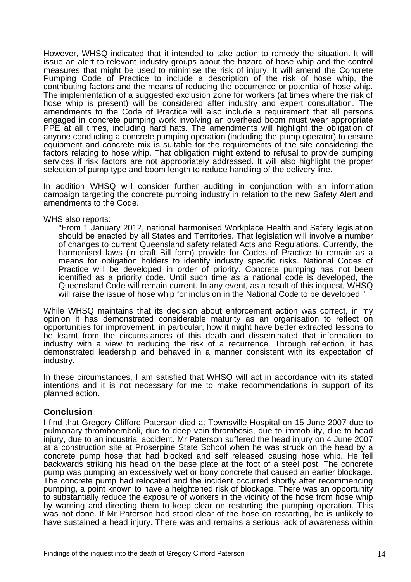However, WHSQ indicated that it intended to take action to remedy the situation. It will issue an alert to relevant industry groups about the hazard of hose whip and the control measures that might be used to minimise the risk of injury. It will amend the Concrete Pumping Code of Practice to include a description of the risk of hose whip, the contributing factors and the means of reducing the occurrence or potential of hose whip. The implementation of a suggested exclusion zone for workers (at times where the risk of hose whip is present) will be considered after industry and expert consultation. The amendments to the Code of Practice will also include a requirement that all persons engaged in concrete pumping work involving an overhead boom must wear appropriate PPE at all times, including hard hats. The amendments will highlight the obligation of anyone conducting a concrete pumping operation (including the pump operator) to ensure equipment and concrete mix is suitable for the requirements of the site considering the factors relating to hose whip. That obligation might extend to refusal to provide pumping services if risk factors are not appropriately addressed. It will also highlight the proper selection of pump type and boom length to reduce handling of the delivery line.

In addition WHSQ will consider further auditing in conjunction with an information campaign targeting the concrete pumping industry in relation to the new Safety Alert and amendments to the Code.

#### WHS also reports:

"From 1 January 2012, national harmonised Workplace Health and Safety legislation should be enacted by all States and Territories. That legislation will involve a number of changes to current Queensland safety related Acts and Regulations. Currently, the harmonised laws (in draft Bill form) provide for Codes of Practice to remain as a means for obligation holders to identify industry specific risks. National Codes of Practice will be developed in order of priority. Concrete pumping has not been identified as a priority code. Until such time as a national code is developed, the Queensland Code will remain current. In any event, as a result of this inquest, WHSQ will raise the issue of hose whip for inclusion in the National Code to be developed."

While WHSQ maintains that its decision about enforcement action was correct, in my opinion it has demonstrated considerable maturity as an organisation to reflect on opportunities for improvement, in particular, how it might have better extracted lessons to be learnt from the circumstances of this death and disseminated that information to industry with a view to reducing the risk of a recurrence. Through reflection, it has demonstrated leadership and behaved in a manner consistent with its expectation of industry.

In these circumstances, I am satisfied that WHSQ will act in accordance with its stated intentions and it is not necessary for me to make recommendations in support of its planned action.

#### **Conclusion**

I find that Gregory Clifford Paterson died at Townsville Hospital on 15 June 2007 due to pulmonary thromboemboli, due to deep vein thrombosis, due to immobility, due to head injury, due to an industrial accident. Mr Paterson suffered the head injury on 4 June 2007 at a construction site at Proserpine State School when he was struck on the head by a concrete pump hose that had blocked and self released causing hose whip. He fell backwards striking his head on the base plate at the foot of a steel post. The concrete pump was pumping an excessively wet or bony concrete that caused an earlier blockage. The concrete pump had relocated and the incident occurred shortly after recommencing pumping, a point known to have a heightened risk of blockage. There was an opportunity to substantially reduce the exposure of workers in the vicinity of the hose from hose whip by warning and directing them to keep clear on restarting the pumping operation. This was not done. If Mr Paterson had stood clear of the hose on restarting, he is unlikely to have sustained a head injury. There was and remains a serious lack of awareness within